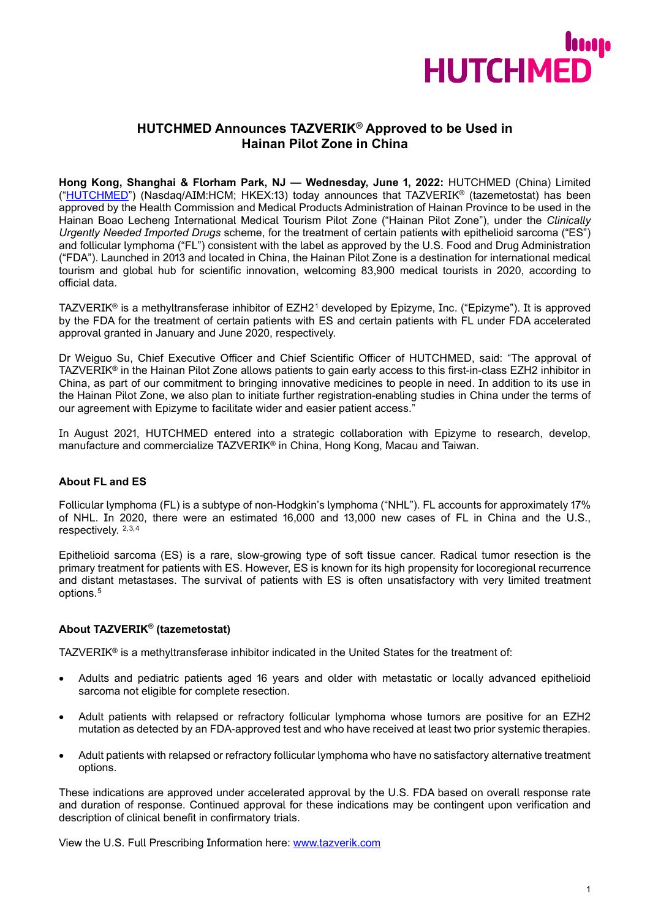

# **HUTCHMED Announces TAZVERIK® Approved to be Used in Hainan Pilot Zone in China**

**Hong Kong, Shanghai & Florham Park, NJ — Wednesday, June 1, 2022:** HUTCHMED (China) Limited (["HUTCHMED"](https://www.hutch-med.com/)) (Nasdaq/AIM:HCM; HKEX:13) today announces that TAZVERIK® (tazemetostat) has been approved by the Health Commission and Medical Products Administration of Hainan Province to be used in the Hainan Boao Lecheng International Medical Tourism Pilot Zone ("Hainan Pilot Zone"), under the *Clinically Urgently Needed Imported Drugs* scheme, for the treatment of certain patients with epithelioid sarcoma ("ES") and follicular lymphoma ("FL") consistent with the label as approved by the U.S. Food and Drug Administration ("FDA"). Launched in 2013 and located in China, the Hainan Pilot Zone is a destination for international medical tourism and global hub for scientific innovation, welcoming 83,900 medical tourists in 2020, according to official data.

TAZVERIK® is a methyltransferase inhibitor of EZH2[1](#page-2-0) developed by Epizyme, Inc. ("Epizyme"). It is approved by the FDA for the treatment of certain patients with ES and certain patients with FL under FDA accelerated approval granted in January and June 2020, respectively.

Dr Weiguo Su, Chief Executive Officer and Chief Scientific Officer of HUTCHMED, said: "The approval of TAZVERIK® in the Hainan Pilot Zone allows patients to gain early access to this first-in-class EZH2 inhibitor in China, as part of our commitment to bringing innovative medicines to people in need. In addition to its use in the Hainan Pilot Zone, we also plan to initiate further registration-enabling studies in China under the terms of our agreement with Epizyme to facilitate wider and easier patient access."

In August 2021, HUTCHMED entered into a strategic collaboration with Epizyme to research, develop, manufacture and commercialize TAZVERIK® in China, Hong Kong, Macau and Taiwan.

# **About FL and ES**

Follicular lymphoma (FL) is a subtype of non-Hodgkin's lymphoma ("NHL"). FL accounts for approximately 17% of NHL. In 2020, there were an estimated 16,000 and 13,000 new cases of FL in China and the U.S., respectively. [2](#page-2-1),[3,](#page-2-2)[4](#page-2-3)

Epithelioid sarcoma (ES) is a rare, slow-growing type of soft tissue cancer. Radical tumor resection is the primary treatment for patients with ES. However, ES is known for its high propensity for locoregional recurrence and distant metastases. The survival of patients with ES is often unsatisfactory with very limited treatment options.[5](#page-2-4)

# **About TAZVERIK® (tazemetostat)**

TAZVERIK® is a methyltransferase inhibitor indicated in the United States for the treatment of:

- Adults and pediatric patients aged 16 years and older with metastatic or locally advanced epithelioid sarcoma not eligible for complete resection.
- Adult patients with relapsed or refractory follicular lymphoma whose tumors are positive for an EZH2 mutation as detected by an FDA-approved test and who have received at least two prior systemic therapies.
- Adult patients with relapsed or refractory follicular lymphoma who have no satisfactory alternative treatment options.

These indications are approved under accelerated approval by the U.S. FDA based on overall response rate and duration of response. Continued approval for these indications may be contingent upon verification and description of clinical benefit in confirmatory trials.

View the U.S. Full Prescribing Information here: [www.tazverik.com](http://www.tazverik.com/)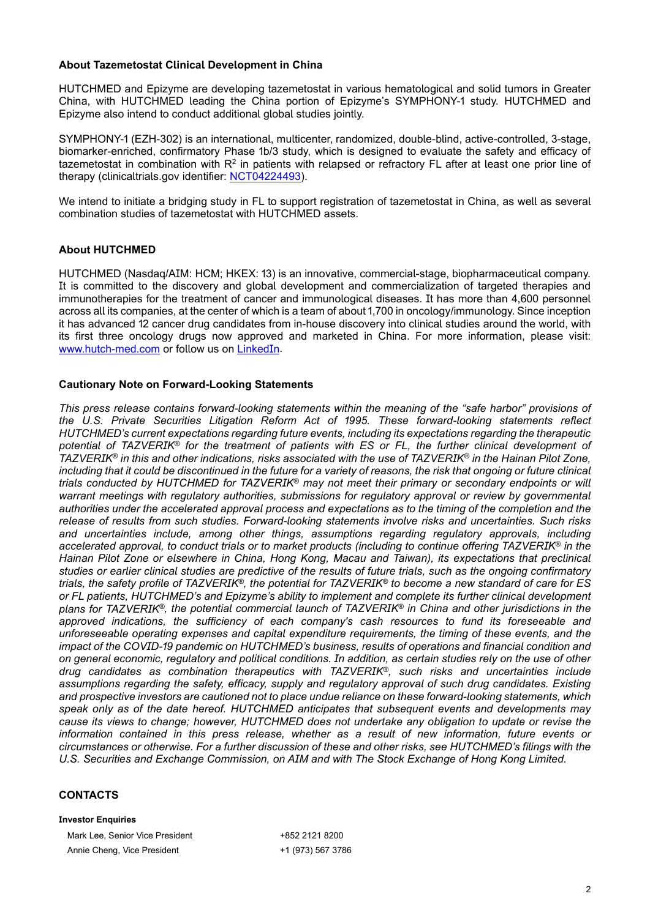## **About Tazemetostat Clinical Development in China**

HUTCHMED and Epizyme are developing tazemetostat in various hematological and solid tumors in Greater China, with HUTCHMED leading the China portion of Epizyme's SYMPHONY-1 study. HUTCHMED and Epizyme also intend to conduct additional global studies jointly.

SYMPHONY-1 (EZH-302) is an international, multicenter, randomized, double-blind, active-controlled, 3-stage, biomarker-enriched, confirmatory Phase 1b/3 study, which is designed to evaluate the safety and efficacy of tazemetostat in combination with R<sup>2</sup> in patients with relapsed or refractory FL after at least one prior line of therapy (clinicaltrials.gov identifier: [NCT04224493](https://clinicaltrials.gov/ct2/show/NCT04224493)).

We intend to initiate a bridging study in FL to support registration of tazemetostat in China, as well as several combination studies of tazemetostat with HUTCHMED assets.

# **About HUTCHMED**

HUTCHMED (Nasdaq/AIM: HCM; HKEX: 13) is an innovative, commercial-stage, biopharmaceutical company. It is committed to the discovery and global development and commercialization of targeted therapies and immunotherapies for the treatment of cancer and immunological diseases. It has more than 4,600 personnel across all its companies, at the center of which is a team of about 1,700 in oncology/immunology. Since inception it has advanced 12 cancer drug candidates from in-house discovery into clinical studies around the world, with its first three oncology drugs now approved and marketed in China. For more information, please visit: [www.hutch-med.com](https://www.hutch-med.com/) or follow us on [LinkedIn](https://www.linkedin.com/company/hutchmed/).

## **Cautionary Note on Forward-Looking Statements**

*This press release contains forward-looking statements within the meaning of the "safe harbor" provisions of the U.S. Private Securities Litigation Reform Act of 1995. These forward-looking statements reflect HUTCHMED's current expectations regarding future events, including its expectations regarding the therapeutic potential of TAZVERIK® for the treatment of patients with ES or FL, the further clinical development of TAZVERIK® in this and other indications, risks associated with the use of TAZVERIK® in the Hainan Pilot Zone, including that it could be discontinued in the future for a variety of reasons, the risk that ongoing or future clinical trials conducted by HUTCHMED for TAZVERIK® may not meet their primary or secondary endpoints or will warrant meetings with regulatory authorities, submissions for regulatory approval or review by governmental authorities under the accelerated approval process and expectations as to the timing of the completion and the release of results from such studies. Forward-looking statements involve risks and uncertainties. Such risks and uncertainties include, among other things, assumptions regarding regulatory approvals, including accelerated approval, to conduct trials or to market products (including to continue offering TAZVERIK® in the Hainan Pilot Zone or elsewhere in China, Hong Kong, Macau and Taiwan), its expectations that preclinical studies or earlier clinical studies are predictive of the results of future trials, such as the ongoing confirmatory trials, the safety profile of TAZVERIK®, the potential for TAZVERIK® to become a new standard of care for ES or FL patients, HUTCHMED's and Epizyme's ability to implement and complete its further clinical development plans for TAZVERIK®, the potential commercial launch of TAZVERIK® in China and other jurisdictions in the approved indications, the sufficiency of each company's cash resources to fund its foreseeable and unforeseeable operating expenses and capital expenditure requirements, the timing of these events, and the impact of the COVID-19 pandemic on HUTCHMED's business, results of operations and financial condition and on general economic, regulatory and political conditions. In addition, as certain studies rely on the use of other drug candidates as combination therapeutics with TAZVERIK®, such risks and uncertainties include assumptions regarding the safety, efficacy, supply and regulatory approval of such drug candidates. Existing and prospective investors are cautioned not to place undue reliance on these forward-looking statements, which speak only as of the date hereof. HUTCHMED anticipates that subsequent events and developments may cause its views to change; however, HUTCHMED does not undertake any obligation to update or revise the information contained in this press release, whether as a result of new information, future events or circumstances or otherwise. For a further discussion of these and other risks, see HUTCHMED's filings with the U.S. Securities and Exchange Commission, on AIM and with The Stock Exchange of Hong Kong Limited.*

## **CONTACTS**

#### **Investor Enquiries**

Mark Lee, Senior Vice President +852 2121 8200 Annie Cheng, Vice President +1 (973) 567 3786